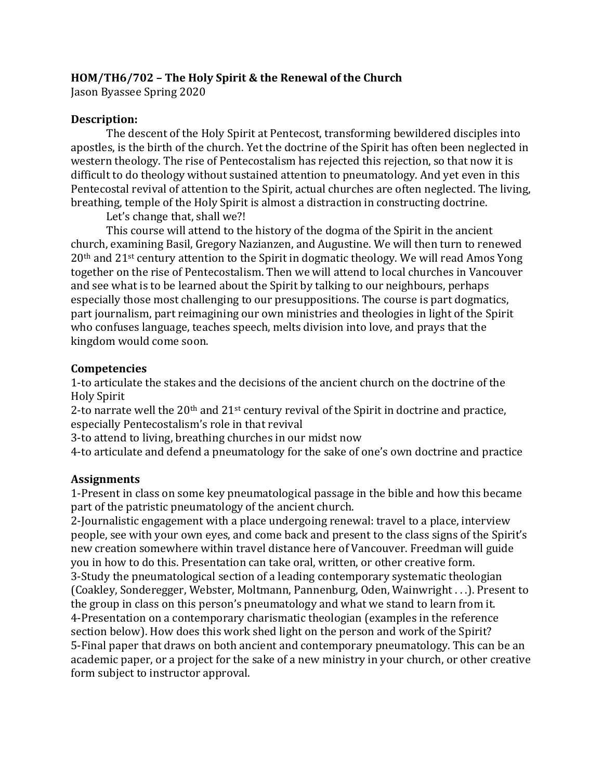## **HOM/TH6/702 – The Holy Spirit & the Renewal of the Church**

Jason Byassee Spring 2020

#### **Description:**

The descent of the Holy Spirit at Pentecost, transforming bewildered disciples into apostles, is the birth of the church. Yet the doctrine of the Spirit has often been neglected in western theology. The rise of Pentecostalism has rejected this rejection, so that now it is difficult to do theology without sustained attention to pneumatology. And yet even in this Pentecostal revival of attention to the Spirit, actual churches are often neglected. The living, breathing, temple of the Holy Spirit is almost a distraction in constructing doctrine.

Let's change that, shall we?!

This course will attend to the history of the dogma of the Spirit in the ancient church, examining Basil, Gregory Nazianzen, and Augustine. We will then turn to renewed 20th and 21st century attention to the Spirit in dogmatic theology. We will read Amos Yong together on the rise of Pentecostalism. Then we will attend to local churches in Vancouver and see what is to be learned about the Spirit by talking to our neighbours, perhaps especially those most challenging to our presuppositions. The course is part dogmatics, part journalism, part reimagining our own ministries and theologies in light of the Spirit who confuses language, teaches speech, melts division into love, and prays that the kingdom would come soon.

#### **Competencies**

1-to articulate the stakes and the decisions of the ancient church on the doctrine of the Holy Spirit

2-to narrate well the  $20<sup>th</sup>$  and  $21<sup>st</sup>$  century revival of the Spirit in doctrine and practice, especially Pentecostalism's role in that revival

3-to attend to living, breathing churches in our midst now

4-to articulate and defend a pneumatology for the sake of one's own doctrine and practice

#### **Assignments**

1-Present in class on some key pneumatological passage in the bible and how this became part of the patristic pneumatology of the ancient church.

2-Journalistic engagement with a place undergoing renewal: travel to a place, interview people, see with your own eyes, and come back and present to the class signs of the Spirit's new creation somewhere within travel distance here of Vancouver. Freedman will guide you in how to do this. Presentation can take oral, written, or other creative form. 3-Study the pneumatological section of a leading contemporary systematic theologian (Coakley, Sonderegger, Webster, Moltmann, Pannenburg, Oden, Wainwright . . .). Present to the group in class on this person's pneumatology and what we stand to learn from it. 4-Presentation on a contemporary charismatic theologian (examples in the reference section below). How does this work shed light on the person and work of the Spirit? 5-Final paper that draws on both ancient and contemporary pneumatology. This can be an academic paper, or a project for the sake of a new ministry in your church, or other creative form subject to instructor approval.